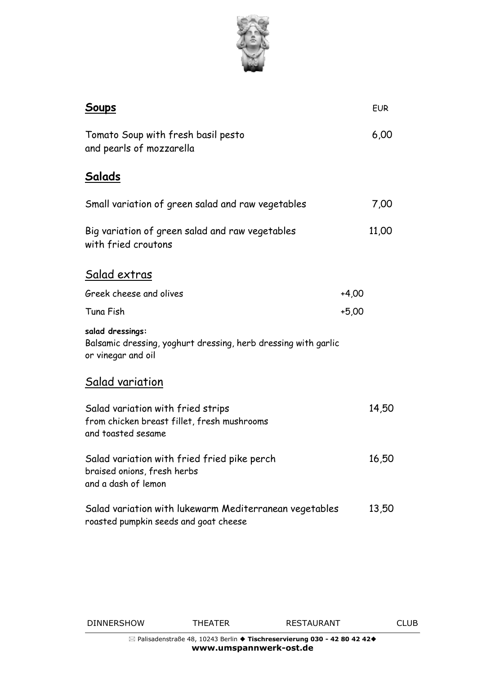

| <u>Soups</u>                                                                                             |         | <b>EUR</b> |
|----------------------------------------------------------------------------------------------------------|---------|------------|
| Tomato Soup with fresh basil pesto<br>and pearls of mozzarella                                           |         | 6,00       |
| <u>Salads</u>                                                                                            |         |            |
| Small variation of green salad and raw vegetables                                                        |         | 7,00       |
| Big variation of green salad and raw vegetables<br>with fried croutons                                   |         | 11,00      |
| <u>Salad extras</u>                                                                                      |         |            |
| Greek cheese and olives                                                                                  | $+4,00$ |            |
| Tuna Fish                                                                                                | $+5,00$ |            |
| salad dressings:<br>Balsamic dressing, yoghurt dressing, herb dressing with garlic<br>or vinegar and oil |         |            |
| <u>Salad variation</u>                                                                                   |         |            |
| Salad variation with fried strips<br>from chicken breast fillet, fresh mushrooms<br>and toasted sesame   |         | 14,50      |
| Salad variation with fried fried pike perch<br>braised onions, fresh herbs<br>and a dash of lemon        |         | 16,50      |
| Salad variation with lukewarm Mediterranean vegetables<br>roasted pumpkin seeds and goat cheese          |         | 13,50      |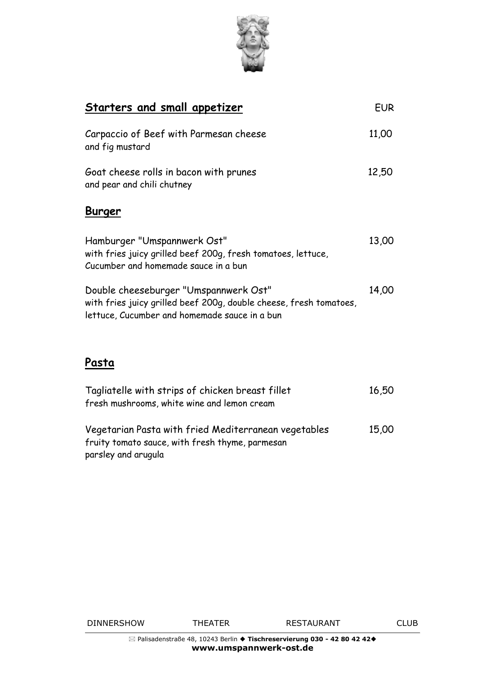

| <b>Starters and small appetizer</b>                                                                                                                          | <b>EUR</b> |
|--------------------------------------------------------------------------------------------------------------------------------------------------------------|------------|
| Carpaccio of Beef with Parmesan cheese<br>and fig mustard                                                                                                    | 11,00      |
| Goat cheese rolls in bacon with prunes<br>and pear and chili chutney                                                                                         | 12,50      |
| <b>Burger</b>                                                                                                                                                |            |
| Hamburger "Umspannwerk Ost"<br>with fries juicy grilled beef 200g, fresh tomatoes, lettuce,<br>Cucumber and homemade sauce in a bun                          | 13,00      |
| Double cheeseburger "Umspannwerk Ost"<br>with fries juicy grilled beef 200g, double cheese, fresh tomatoes,<br>lettuce, Cucumber and homemade sauce in a bun | 14,00      |
| Pasta                                                                                                                                                        |            |

| Tagliatelle with strips of chicken breast fillet<br>fresh mushrooms, white wine and lemon cream                                | 16,50 |
|--------------------------------------------------------------------------------------------------------------------------------|-------|
| Vegetarian Pasta with fried Mediterranean vegetables<br>fruity tomato sauce, with fresh thyme, parmesan<br>parsley and arugula | 15,00 |

DINNERSHOW THEATER RESTAURANT CLUB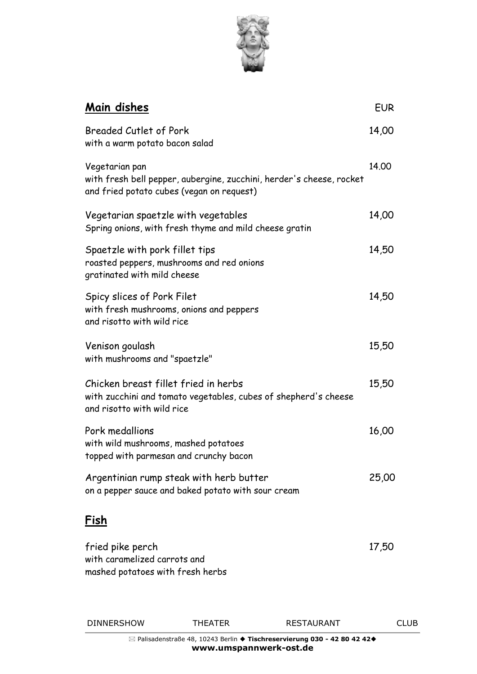

| Main dishes                                                                                                                           | <b>EUR</b> |
|---------------------------------------------------------------------------------------------------------------------------------------|------------|
| Breaded Cutlet of Pork<br>with a warm potato bacon salad                                                                              | 14,00      |
| Vegetarian pan<br>with fresh bell pepper, aubergine, zucchini, herder's cheese, rocket<br>and fried potato cubes (vegan on request)   | 14.00      |
| Vegetarian spaetzle with vegetables<br>Spring onions, with fresh thyme and mild cheese gratin                                         | 14,00      |
| Spaetzle with pork fillet tips<br>roasted peppers, mushrooms and red onions<br>gratinated with mild cheese                            | 14,50      |
| Spicy slices of Pork Filet<br>with fresh mushrooms, onions and peppers<br>and risotto with wild rice                                  | 14,50      |
| Venison goulash<br>with mushrooms and "spaetzle"                                                                                      | 15,50      |
| Chicken breast fillet fried in herbs<br>with zucchini and tomato vegetables, cubes of shepherd's cheese<br>and risotto with wild rice | 15,50      |
| Pork medallions<br>with wild mushrooms, mashed potatoes<br>topped with parmesan and crunchy bacon                                     | 16,00      |
| Argentinian rump steak with herb butter<br>on a pepper sauce and baked potato with sour cream                                         | 25,00      |
| <u>Fish</u>                                                                                                                           |            |
| fried pike perch<br>with caramelized carrots and<br>mashed potatoes with fresh herbs                                                  | 17,50      |

DINNERSHOW THEATER RESTAURANT CLUB